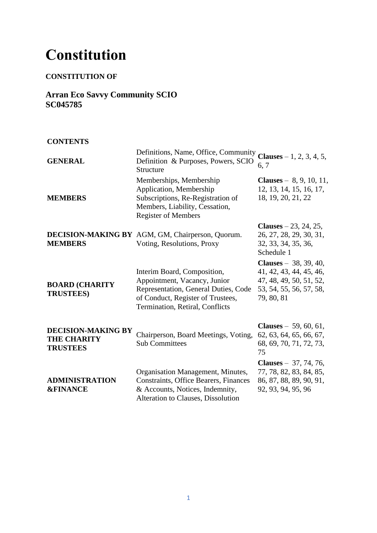# **Constitution**

## **CONSTITUTION OF**

**Arran Eco Savvy Community SCIO SC045785**

**CONTENTS**

| <b>GENERAL</b>                                                     | Definitions, Name, Office, Community<br>Definition & Purposes, Powers, SCIO<br>Structure                                                                                    | <b>Clauses</b> $-1$ , 2, 3, 4, 5,<br>6, 7                                                                                     |
|--------------------------------------------------------------------|-----------------------------------------------------------------------------------------------------------------------------------------------------------------------------|-------------------------------------------------------------------------------------------------------------------------------|
| <b>MEMBERS</b>                                                     | Memberships, Membership<br>Application, Membership<br>Subscriptions, Re-Registration of<br>Members, Liability, Cessation,<br><b>Register of Members</b>                     | <b>Clauses</b> – $8, 9, 10, 11,$<br>12, 13, 14, 15, 16, 17,<br>18, 19, 20, 21, 22                                             |
| <b>MEMBERS</b>                                                     | DECISION-MAKING BY AGM, GM, Chairperson, Quorum.<br>Voting, Resolutions, Proxy                                                                                              | Clauses $-23, 24, 25,$<br>26, 27, 28, 29, 30, 31,<br>32, 33, 34, 35, 36,<br>Schedule 1                                        |
| <b>BOARD (CHARITY</b><br><b>TRUSTEES)</b>                          | Interim Board, Composition,<br>Appointment, Vacancy, Junior<br>Representation, General Duties, Code<br>of Conduct, Register of Trustees,<br>Termination, Retiral, Conflicts | <b>Clauses</b> $- 38, 39, 40,$<br>41, 42, 43, 44, 45, 46,<br>47, 48, 49, 50, 51, 52,<br>53, 54, 55, 56, 57, 58,<br>79, 80, 81 |
| <b>DECISION-MAKING BY</b><br><b>THE CHARITY</b><br><b>TRUSTEES</b> | Chairperson, Board Meetings, Voting,<br><b>Sub Committees</b>                                                                                                               | <b>Clauses</b> – 59, 60, 61,<br>62, 63, 64, 65, 66, 67,<br>68, 69, 70, 71, 72, 73,<br>75                                      |
| <b>ADMINISTRATION</b><br><b>&amp;FINANCE</b>                       | Organisation Management, Minutes,<br><b>Constraints, Office Bearers, Finances</b><br>& Accounts, Notices, Indemnity,<br>Alteration to Clauses, Dissolution                  | <b>Clauses</b> $- 37, 74, 76,$<br>77, 78, 82, 83, 84, 85,<br>86, 87, 88, 89, 90, 91,<br>92, 93, 94, 95, 96                    |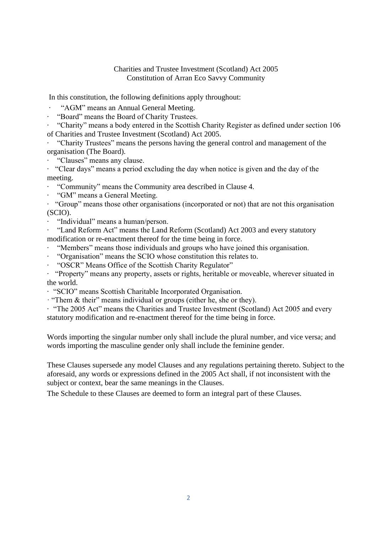#### Charities and Trustee Investment (Scotland) Act 2005 Constitution of Arran Eco Savvy Community

In this constitution, the following definitions apply throughout:

· "AGM" means an Annual General Meeting.

· "Board" means the Board of Charity Trustees.

· "Charity" means a body entered in the Scottish Charity Register as defined under section 106 of Charities and Trustee Investment (Scotland) Act 2005.

· "Charity Trustees" means the persons having the general control and management of the organisation (The Board).

· "Clauses" means any clause.

· "Clear days" means a period excluding the day when notice is given and the day of the meeting.

· "Community" means the Community area described in Clause 4.

· "GM" means a General Meeting.

· "Group" means those other organisations (incorporated or not) that are not this organisation (SCIO).

· "Individual" means a human/person.

· "Land Reform Act" means the Land Reform (Scotland) Act 2003 and every statutory modification or re-enactment thereof for the time being in force.

· "Members" means those individuals and groups who have joined this organisation.

· "Organisation" means the SCIO whose constitution this relates to.

· "OSCR" Means Office of the Scottish Charity Regulator"

· "Property" means any property, assets or rights, heritable or moveable, wherever situated in the world.

· "SCIO" means Scottish Charitable Incorporated Organisation.

· "Them & their" means individual or groups (either he, she or they).

· "The 2005 Act" means the Charities and Trustee Investment (Scotland) Act 2005 and every statutory modification and re-enactment thereof for the time being in force.

Words importing the singular number only shall include the plural number, and vice versa; and words importing the masculine gender only shall include the feminine gender.

These Clauses supersede any model Clauses and any regulations pertaining thereto. Subject to the aforesaid, any words or expressions defined in the 2005 Act shall, if not inconsistent with the subject or context, bear the same meanings in the Clauses.

The Schedule to these Clauses are deemed to form an integral part of these Clauses.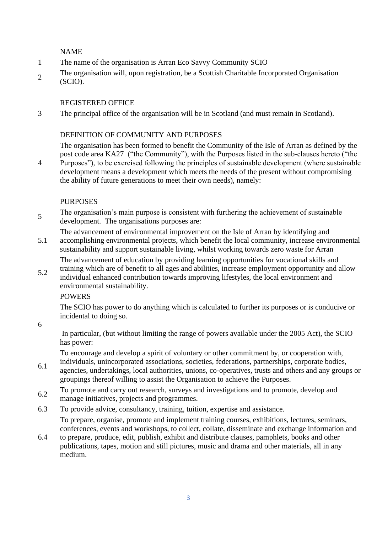NAME

- 1 The name of the organisation is Arran Eco Savvy Community SCIO
- 2 The organisation will, upon registration, be a Scottish Charitable Incorporated Organisation (SCIO).

#### REGISTERED OFFICE

3 The principal office of the organisation will be in Scotland (and must remain in Scotland).

## DEFINITION OF COMMUNITY AND PURPOSES

the ability of future generations to meet their own needs), namely:

The organisation has been formed to benefit the Community of the Isle of Arran as defined by the post code area KA27 ("the Community"), with the Purposes listed in the sub-clauses hereto ("the Purposes"), to be exercised following the principles of sustainable development (where sustainable development means a development which meets the needs of the present without compromising

#### PURPOSES

- 5 The organisation's main purpose is consistent with furthering the achievement of sustainable development. The organisations purposes are:
	- The advancement of environmental improvement on the Isle of Arran by identifying and
- 5.1 accomplishing environmental projects, which benefit the local community, increase environmental sustainability and support sustainable living, whilst working towards zero waste for Arran

The advancement of education by providing learning opportunities for vocational skills and

5.2 training which are of benefit to all ages and abilities, increase employment opportunity and allow individual enhanced contribution towards improving lifestyles, the local environment and environmental sustainability.

#### **POWERS**

The SCIO has power to do anything which is calculated to further its purposes or is conducive or incidental to doing so.

6

4

In particular, (but without limiting the range of powers available under the 2005 Act), the SCIO has power:

To encourage and develop a spirit of voluntary or other commitment by, or cooperation with, individuals, unincorporated associations, societies, federations, partnerships, corporate bodies,

- 6.1 agencies, undertakings, local authorities, unions, co-operatives, trusts and others and any groups or groupings thereof willing to assist the Organisation to achieve the Purposes.
- 6.2 To promote and carry out research, surveys and investigations and to promote, develop and manage initiatives, projects and programmes.
- 6.3 To provide advice, consultancy, training, tuition, expertise and assistance.

To prepare, organise, promote and implement training courses, exhibitions, lectures, seminars, conferences, events and workshops, to collect, collate, disseminate and exchange information and

6.4 to prepare, produce, edit, publish, exhibit and distribute clauses, pamphlets, books and other publications, tapes, motion and still pictures, music and drama and other materials, all in any medium.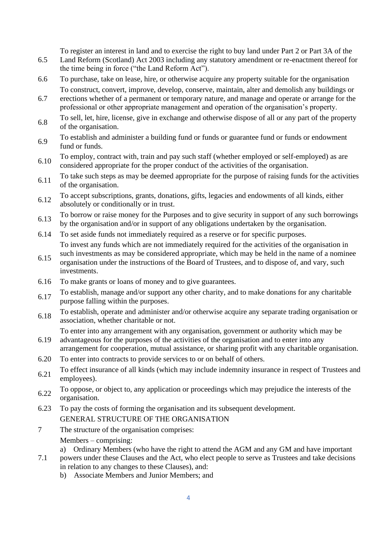To register an interest in land and to exercise the right to buy land under Part 2 or Part 3A of the

- 6.5 Land Reform (Scotland) Act 2003 including any statutory amendment or re-enactment thereof for the time being in force ("the Land Reform Act").
- 6.6 To purchase, take on lease, hire, or otherwise acquire any property suitable for the organisation To construct, convert, improve, develop, conserve, maintain, alter and demolish any buildings or
- 6.7 erections whether of a permanent or temporary nature, and manage and operate or arrange for the professional or other appropriate management and operation of the organisation's property.
- 6.8 To sell, let, hire, license, give in exchange and otherwise dispose of all or any part of the property of the organisation.
- 6.9 To establish and administer a building fund or funds or guarantee fund or funds or endowment fund or funds.
- 6.10 To employ, contract with, train and pay such staff (whether employed or self-employed) as are considered appropriate for the proper conduct of the activities of the organisation.
- 6.11 To take such steps as may be deemed appropriate for the purpose of raising funds for the activities of the organisation.
- 6.12 To accept subscriptions, grants, donations, gifts, legacies and endowments of all kinds, either absolutely or conditionally or in trust.
- 6.13 To borrow or raise money for the Purposes and to give security in support of any such borrowings by the organisation and/or in support of any obligations undertaken by the organisation.
- 6.14 To set aside funds not immediately required as a reserve or for specific purposes. To invest any funds which are not immediately required for the activities of the organisation in
- 6.15 such investments as may be considered appropriate, which may be held in the name of a nominee organisation under the instructions of the Board of Trustees, and to dispose of, and vary, such investments.
- 6.16 To make grants or loans of money and to give guarantees.
- 6.17 To establish, manage and/or support any other charity, and to make donations for any charitable purpose falling within the purposes.
- 6.18 To establish, operate and administer and/or otherwise acquire any separate trading organisation or association, whether charitable or not.

To enter into any arrangement with any organisation, government or authority which may be

- 6.19 advantageous for the purposes of the activities of the organisation and to enter into any arrangement for cooperation, mutual assistance, or sharing profit with any charitable organisation.
- 6.20 To enter into contracts to provide services to or on behalf of others.
- 6.21 To effect insurance of all kinds (which may include indemnity insurance in respect of Trustees and employees).
- 6.22 To oppose, or object to, any application or proceedings which may prejudice the interests of the organisation.
- 6.23 To pay the costs of forming the organisation and its subsequent development. GENERAL STRUCTURE OF THE ORGANISATION
- 7 The structure of the organisation comprises:

Members – comprising:

- a) Ordinary Members (who have the right to attend the AGM and any GM and have important
- 7.1 powers under these Clauses and the Act, who elect people to serve as Trustees and take decisions in relation to any changes to these Clauses), and:
	- b) Associate Members and Junior Members; and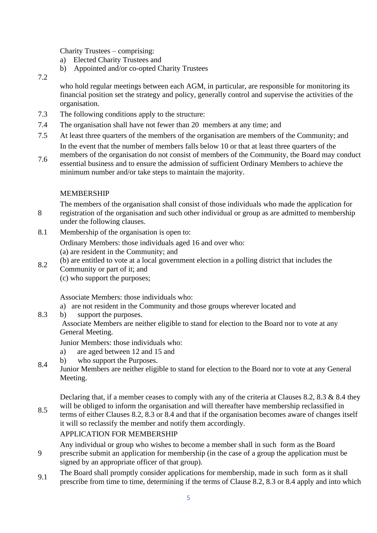Charity Trustees – comprising:

- a) Elected Charity Trustees and
- b) Appointed and/or co-opted Charity Trustees
- 7.2

who hold regular meetings between each AGM, in particular, are responsible for monitoring its financial position set the strategy and policy, generally control and supervise the activities of the organisation.

- 7.3 The following conditions apply to the structure:
- 7.4 The organisation shall have not fewer than 20 members at any time; and
- 7.5 At least three quarters of the members of the organisation are members of the Community; and In the event that the number of members falls below 10 or that at least three quarters of the
- 7.6 members of the organisation do not consist of members of the Community, the Board may conduct essential business and to ensure the admission of sufficient Ordinary Members to achieve the minimum number and/or take steps to maintain the majority.

## MEMBERSHIP

8 The members of the organisation shall consist of those individuals who made the application for registration of the organisation and such other individual or group as are admitted to membership under the following clauses.

8.1 Membership of the organisation is open to:

Ordinary Members: those individuals aged 16 and over who: (a) are resident in the Community; and

- 8.2 (b) are entitled to vote at a local government election in a polling district that includes the Community or part of it; and
	- (c) who support the purposes;

Associate Members: those individuals who:

- a) are not resident in the Community and those groups wherever located and
- 8.3 b) support the purposes.

Associate Members are neither eligible to stand for election to the Board nor to vote at any General Meeting.

Junior Members: those individuals who:

- a) are aged between 12 and 15 and
- b) who support the Purposes.
- 8.4 Junior Members are neither eligible to stand for election to the Board nor to vote at any General Meeting.

Declaring that, if a member ceases to comply with any of the criteria at Clauses 8.2, 8.3 & 8.4 they will be obliged to inform the organisation and will thereafter have membership reclassified in

8.5 terms of either Clauses 8.2, 8.3 or 8.4 and that if the organisation becomes aware of changes itself it will so reclassify the member and notify them accordingly.

## APPLICATION FOR MEMBERSHIP

Any individual or group who wishes to become a member shall in such form as the Board

- 9 prescribe submit an application for membership (in the case of a group the application must be signed by an appropriate officer of that group).
- 9.1 The Board shall promptly consider applications for membership, made in such form as it shall prescribe from time to time, determining if the terms of Clause 8.2, 8.3 or 8.4 apply and into which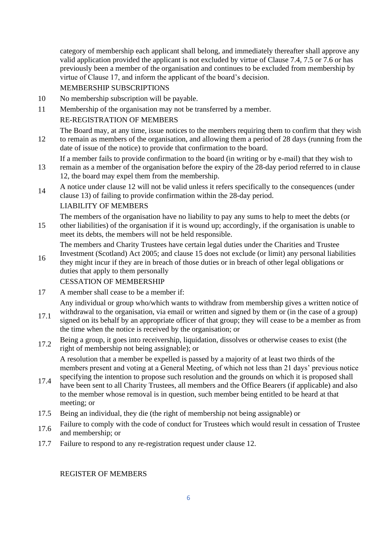category of membership each applicant shall belong, and immediately thereafter shall approve any valid application provided the applicant is not excluded by virtue of Clause 7.4, 7.5 or 7.6 or has previously been a member of the organisation and continues to be excluded from membership by virtue of Clause 17, and inform the applicant of the board's decision.

## MEMBERSHIP SUBSCRIPTIONS

10 No membership subscription will be payable.

11 Membership of the organisation may not be transferred by a member.

#### RE-REGISTRATION OF MEMBERS

12 The Board may, at any time, issue notices to the members requiring them to confirm that they wish to remain as members of the organisation, and allowing them a period of 28 days (running from the date of issue of the notice) to provide that confirmation to the board.

If a member fails to provide confirmation to the board (in writing or by e-mail) that they wish to

- 13 remain as a member of the organisation before the expiry of the 28-day period referred to in clause 12, the board may expel them from the membership.
- 14 A notice under clause 12 will not be valid unless it refers specifically to the consequences (under clause 13) of failing to provide confirmation within the 28-day period.

#### LIABILITY OF MEMBERS

The members of the organisation have no liability to pay any sums to help to meet the debts (or other liabilities) of the organisation if it is wound up; accordingly, if the organisation is unable to

15 meet its debts, the members will not be held responsible.

The members and Charity Trustees have certain legal duties under the Charities and Trustee

16 Investment (Scotland) Act 2005; and clause 15 does not exclude (or limit) any personal liabilities they might incur if they are in breach of those duties or in breach of other legal obligations or duties that apply to them personally

## CESSATION OF MEMBERSHIP

17 A member shall cease to be a member if:

Any individual or group who/which wants to withdraw from membership gives a written notice of withdrawal to the organisation, via email or written and signed by them or (in the case of a group)

- 17.1 signed on its behalf by an appropriate officer of that group; they will cease to be a member as from the time when the notice is received by the organisation; or
- 17.2 Being a group, it goes into receivership, liquidation, dissolves or otherwise ceases to exist (the right of membership not being assignable); or

A resolution that a member be expelled is passed by a majority of at least two thirds of the members present and voting at a General Meeting, of which not less than 21 days' previous notice specifying the intention to propose such resolution and the grounds on which it is proposed shall

- 17.4 have been sent to all Charity Trustees, all members and the Office Bearers (if applicable) and also to the member whose removal is in question, such member being entitled to be heard at that meeting; or
- 17.5 Being an individual, they die (the right of membership not being assignable) or
- 17.6 Failure to comply with the code of conduct for Trustees which would result in cessation of Trustee and membership; or
- 17.7 Failure to respond to any re-registration request under clause 12.

REGISTER OF MEMBERS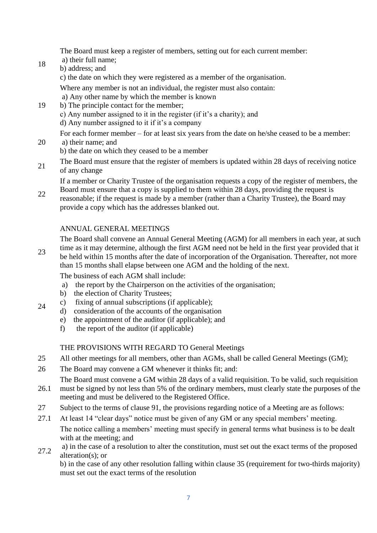The Board must keep a register of members, setting out for each current member:

18 a) their full name;

20

24

b) address; and

c) the date on which they were registered as a member of the organisation.

Where any member is not an individual, the register must also contain:

a) Any other name by which the member is known

19 b) The principle contact for the member;

c) Any number assigned to it in the register (if it's a charity); and

d) Any number assigned to it if it's a company

For each former member – for at least six years from the date on he/she ceased to be a member: a) their name; and

- b) the date on which they ceased to be a member
- 21 The Board must ensure that the register of members is updated within 28 days of receiving notice of any change

If a member or Charity Trustee of the organisation requests a copy of the register of members, the

22 Board must ensure that a copy is supplied to them within 28 days, providing the request is reasonable; if the request is made by a member (rather than a Charity Trustee), the Board may provide a copy which has the addresses blanked out.

## ANNUAL GENERAL MEETINGS

23 The Board shall convene an Annual General Meeting (AGM) for all members in each year, at such time as it may determine, although the first AGM need not be held in the first year provided that it be held within 15 months after the date of incorporation of the Organisation. Thereafter, not more than 15 months shall elapse between one AGM and the holding of the next.

The business of each AGM shall include:

- a) the report by the Chairperson on the activities of the organisation;
- b) the election of Charity Trustees;
- c) fixing of annual subscriptions (if applicable);
	- d) consideration of the accounts of the organisation
	- e) the appointment of the auditor (if applicable); and
	- f) the report of the auditor (if applicable)

## THE PROVISIONS WITH REGARD TO General Meetings

- 25 All other meetings for all members, other than AGMs, shall be called General Meetings (GM);
- 26 The Board may convene a GM whenever it thinks fit; and:

The Board must convene a GM within 28 days of a valid requisition. To be valid, such requisition

- 26.1 must be signed by not less than 5% of the ordinary members, must clearly state the purposes of the meeting and must be delivered to the Registered Office.
- 27 Subject to the terms of clause 91, the provisions regarding notice of a Meeting are as follows:
- 27.1 At least 14 "clear days" notice must be given of any GM or any special members' meeting. The notice calling a members' meeting must specify in general terms what business is to be dealt with at the meeting; and
- 27.2 a) in the case of a resolution to alter the constitution, must set out the exact terms of the proposed alteration(s); or

b) in the case of any other resolution falling within clause 35 (requirement for two-thirds majority) must set out the exact terms of the resolution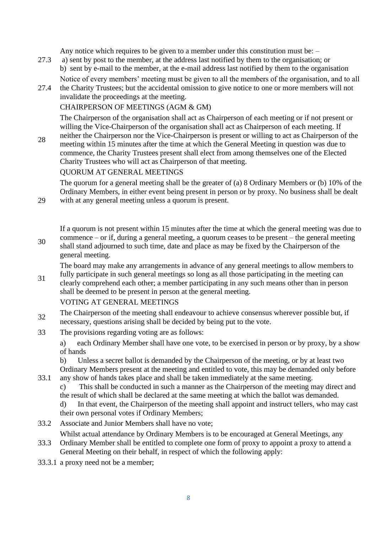Any notice which requires to be given to a member under this constitution must be: –

- 27.3 a) sent by post to the member, at the address last notified by them to the organisation; or b) sent by e-mail to the member, at the e-mail address last notified by them to the organisation Notice of every members' meeting must be given to all the members of the organisation, and to all
- 27.4 the Charity Trustees; but the accidental omission to give notice to one or more members will not invalidate the proceedings at the meeting.

#### CHAIRPERSON OF MEETINGS (AGM & GM)

The Chairperson of the organisation shall act as Chairperson of each meeting or if not present or willing the Vice-Chairperson of the organisation shall act as Chairperson of each meeting. If

28 neither the Chairperson nor the Vice-Chairperson is present or willing to act as Chairperson of the meeting within 15 minutes after the time at which the General Meeting in question was due to commence, the Charity Trustees present shall elect from among themselves one of the Elected Charity Trustees who will act as Chairperson of that meeting.

QUORUM AT GENERAL MEETINGS

29

30

33.1

The quorum for a general meeting shall be the greater of (a) 8 Ordinary Members or (b) 10% of the Ordinary Members, in either event being present in person or by proxy. No business shall be dealt with at any general meeting unless a quorum is present.

If a quorum is not present within 15 minutes after the time at which the general meeting was due to commence – or if, during a general meeting, a quorum ceases to be present – the general meeting shall stand adjourned to such time, date and place as may be fixed by the Chairperson of the general meeting.

The board may make any arrangements in advance of any general meetings to allow members to fully participate in such general meetings so long as all those participating in the meeting can

31 clearly comprehend each other; a member participating in any such means other than in person shall be deemed to be present in person at the general meeting.

## VOTING AT GENERAL MEETINGS

<sup>32</sup> The Chairperson of the meeting shall endeavour to achieve consensus wherever possible but, if necessary, questions arising shall be decided by being put to the vote.

33 The provisions regarding voting are as follows:

a) each Ordinary Member shall have one vote, to be exercised in person or by proxy, by a show of hands

b) Unless a secret ballot is demanded by the Chairperson of the meeting, or by at least two

Ordinary Members present at the meeting and entitled to vote, this may be demanded only before any show of hands takes place and shall be taken immediately at the same meeting.

c) This shall be conducted in such a manner as the Chairperson of the meeting may direct and the result of which shall be declared at the same meeting at which the ballot was demanded.

d) In that event, the Chairperson of the meeting shall appoint and instruct tellers, who may cast their own personal votes if Ordinary Members;

33.2 Associate and Junior Members shall have no vote;

Whilst actual attendance by Ordinary Members is to be encouraged at General Meetings, any

- 33.3 Ordinary Member shall be entitled to complete one form of proxy to appoint a proxy to attend a General Meeting on their behalf, in respect of which the following apply:
- 33.3.1 a proxy need not be a member;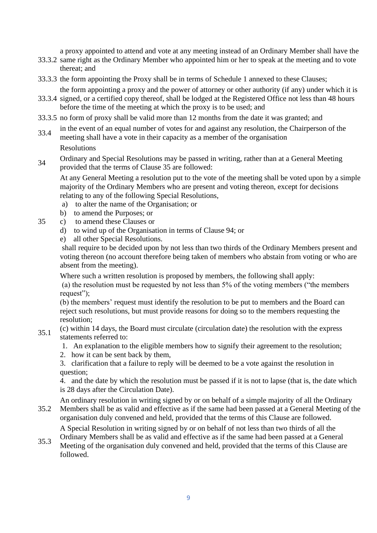a proxy appointed to attend and vote at any meeting instead of an Ordinary Member shall have the

- 33.3.2 same right as the Ordinary Member who appointed him or her to speak at the meeting and to vote thereat; and
- 33.3.3 the form appointing the Proxy shall be in terms of Schedule 1 annexed to these Clauses;
	- the form appointing a proxy and the power of attorney or other authority (if any) under which it is
- 33.3.4 signed, or a certified copy thereof, shall be lodged at the Registered Office not less than 48 hours before the time of the meeting at which the proxy is to be used; and
- 33.3.5 no form of proxy shall be valid more than 12 months from the date it was granted; and
- 33.4 in the event of an equal number of votes for and against any resolution, the Chairperson of the meeting shall have a vote in their capacity as a member of the organisation

Resolutions

34 Ordinary and Special Resolutions may be passed in writing, rather than at a General Meeting provided that the terms of Clause 35 are followed:

At any General Meeting a resolution put to the vote of the meeting shall be voted upon by a simple majority of the Ordinary Members who are present and voting thereon, except for decisions relating to any of the following Special Resolutions,

- a) to alter the name of the Organisation; or
- b) to amend the Purposes; or
- 35 c) to amend these Clauses or
	- d) to wind up of the Organisation in terms of Clause 94; or
	- e) all other Special Resolutions.

shall require to be decided upon by not less than two thirds of the Ordinary Members present and voting thereon (no account therefore being taken of members who abstain from voting or who are absent from the meeting).

Where such a written resolution is proposed by members, the following shall apply:

(a) the resolution must be requested by not less than 5% of the voting members ("the members request");

(b) the members' request must identify the resolution to be put to members and the Board can reject such resolutions, but must provide reasons for doing so to the members requesting the resolution;

- 35.1 (c) within 14 days, the Board must circulate (circulation date) the resolution with the express statements referred to:
	- 1. An explanation to the eligible members how to signify their agreement to the resolution;
	- 2. how it can be sent back by them,

3. clarification that a failure to reply will be deemed to be a vote against the resolution in question;

4. and the date by which the resolution must be passed if it is not to lapse (that is, the date which is 28 days after the Circulation Date).

An ordinary resolution in writing signed by or on behalf of a simple majority of all the Ordinary

35.2 Members shall be as valid and effective as if the same had been passed at a General Meeting of the organisation duly convened and held, provided that the terms of this Clause are followed.

A Special Resolution in writing signed by or on behalf of not less than two thirds of all the

35.3 Ordinary Members shall be as valid and effective as if the same had been passed at a General Meeting of the organisation duly convened and held, provided that the terms of this Clause are followed.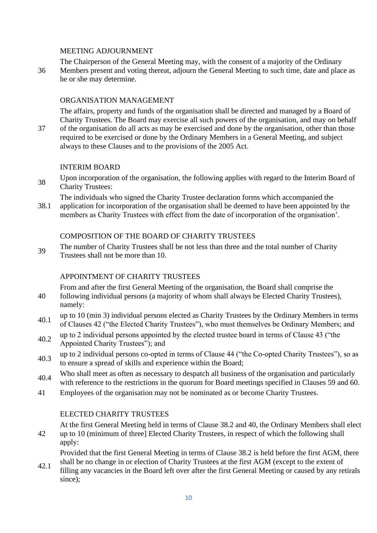#### MEETING ADJOURNMENT

The Chairperson of the General Meeting may, with the consent of a majority of the Ordinary

36 Members present and voting thereat, adjourn the General Meeting to such time, date and place as he or she may determine.

#### ORGANISATION MANAGEMENT

The affairs, property and funds of the organisation shall be directed and managed by a Board of Charity Trustees. The Board may exercise all such powers of the organisation, and may on behalf

37 of the organisation do all acts as may be exercised and done by the organisation, other than those required to be exercised or done by the Ordinary Members in a General Meeting, and subject always to these Clauses and to the provisions of the 2005 Act.

#### INTERIM BOARD

Upon incorporation of the organisation, the following applies with regard to the Interim Board of Charity Trustees:

The individuals who signed the Charity Trustee declaration forms which accompanied the

38.1 application for incorporation of the organisation shall be deemed to have been appointed by the members as Charity Trustees with effect from the date of incorporation of the organisation'.

#### COMPOSITION OF THE BOARD OF CHARITY TRUSTEES

39 The number of Charity Trustees shall be not less than three and the total number of Charity Trustees shall not be more than 10.

#### APPOINTMENT OF CHARITY TRUSTEES

From and after the first General Meeting of the organisation, the Board shall comprise the

- 40 following individual persons (a majority of whom shall always be Elected Charity Trustees), namely:
- 40.1 up to 10 (min 3) individual persons elected as Charity Trustees by the Ordinary Members in terms of Clauses 42 ("the Elected Charity Trustees"), who must themselves be Ordinary Members; and
- $40.2$  up to 2 individual persons appointed by the elected trustee board in terms of Clause 43 ("the Appointed Charity Trustees"); and
- 40.3 up to 2 individual persons co-opted in terms of Clause 44 ("the Co-opted Charity Trustees"), so as to ensure a spread of skills and experience within the Board;
- 40.4 Who shall meet as often as necessary to despatch all business of the organisation and particularly with reference to the restrictions in the quorum for Board meetings specified in Clauses 59 and 60.
- 41 Employees of the organisation may not be nominated as or become Charity Trustees.

#### ELECTED CHARITY TRUSTEES

At the first General Meeting held in terms of Clause 38.2 and 40, the Ordinary Members shall elect

42 up to 10 (minimum of three] Elected Charity Trustees, in respect of which the following shall apply:

Provided that the first General Meeting in terms of Clause 38.2 is held before the first AGM, there shall be no change in or election of Charity Trustees at the first AGM (except to the extent of

42.1 filling any vacancies in the Board left over after the first General Meeting or caused by any retirals since);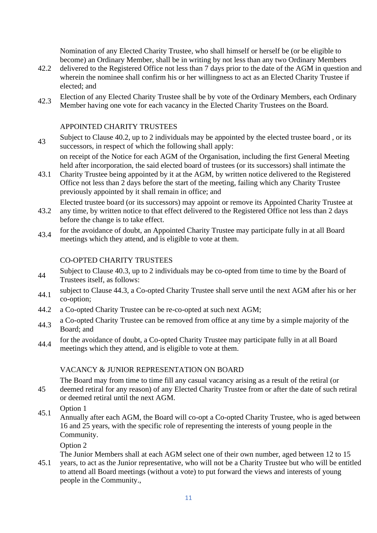Nomination of any Elected Charity Trustee, who shall himself or herself be (or be eligible to become) an Ordinary Member, shall be in writing by not less than any two Ordinary Members

- 42.2 delivered to the Registered Office not less than 7 days prior to the date of the AGM in question and wherein the nominee shall confirm his or her willingness to act as an Elected Charity Trustee if elected; and
- 42.3 Election of any Elected Charity Trustee shall be by vote of the Ordinary Members, each Ordinary Member having one vote for each vacancy in the Elected Charity Trustees on the Board.

#### APPOINTED CHARITY TRUSTEES

Subject to Clause 40.2, up to 2 individuals may be appointed by the elected trustee board, or its successors, in respect of which the following shall apply:

on receipt of the Notice for each AGM of the Organisation, including the first General Meeting held after incorporation, the said elected board of trustees (or its successors) shall intimate the

43.1 Charity Trustee being appointed by it at the AGM, by written notice delivered to the Registered Office not less than 2 days before the start of the meeting, failing which any Charity Trustee previously appointed by it shall remain in office; and

43.2 Elected trustee board (or its successors) may appoint or remove its Appointed Charity Trustee at any time, by written notice to that effect delivered to the Registered Office not less than 2 days

- before the change is to take effect.
- 43.4 for the avoidance of doubt, an Appointed Charity Trustee may participate fully in at all Board meetings which they attend, and is eligible to vote at them.

#### CO-OPTED CHARITY TRUSTEES

- Subject to Clause 40.3, up to 2 individuals may be co-opted from time to time by the Board of Trustees itself, as follows:
- subject to Clause 44.3, a Co-opted Charity Trustee shall serve until the next AGM after his or her co-option;
- 44.2 a Co-opted Charity Trustee can be re-co-opted at such next AGM;
- 44.3 a Co-opted Charity Trustee can be removed from office at any time by a simple majority of the Board; and
- 44.4 for the avoidance of doubt, a Co-opted Charity Trustee may participate fully in at all Board meetings which they attend, and is eligible to vote at them.

#### VACANCY & JUNIOR REPRESENTATION ON BOARD

The Board may from time to time fill any casual vacancy arising as a result of the retiral (or deemed retiral for any reason) of any Elected Charity Trustee from or after the date of such retiral

- or deemed retiral until the next AGM.
- $45.1$  Option 1

45

Annually after each AGM, the Board will co-opt a Co-opted Charity Trustee, who is aged between 16 and 25 years, with the specific role of representing the interests of young people in the Community.

Option 2

The Junior Members shall at each AGM select one of their own number, aged between 12 to 15

45.1 years, to act as the Junior representative, who will not be a Charity Trustee but who will be entitled to attend all Board meetings (without a vote) to put forward the views and interests of young people in the Community.,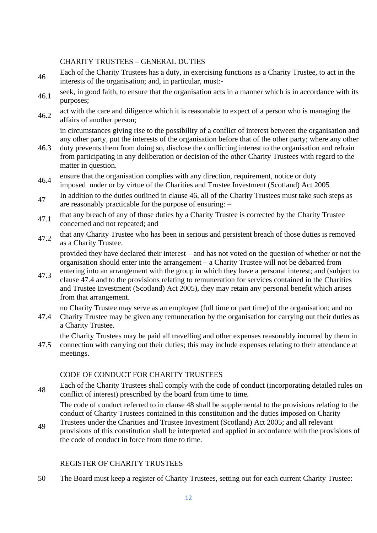#### CHARITY TRUSTEES – GENERAL DUTIES

- Each of the Charity Trustees has a duty, in exercising functions as a Charity Trustee, to act in the interests of the organisation; and, in particular, must:-
- seek, in good faith, to ensure that the organisation acts in a manner which is in accordance with its purposes;
- 46.2 act with the care and diligence which it is reasonable to expect of a person who is managing the affairs of another person;

in circumstances giving rise to the possibility of a conflict of interest between the organisation and any other party, put the interests of the organisation before that of the other party; where any other

- 46.3 duty prevents them from doing so, disclose the conflicting interest to the organisation and refrain from participating in any deliberation or decision of the other Charity Trustees with regard to the matter in question.
- 46.4 ensure that the organisation complies with any direction, requirement, notice or duty

imposed under or by virtue of the Charities and Trustee Investment (Scotland) Act 2005

- In addition to the duties outlined in clause 46, all of the Charity Trustees must take such steps as are reasonably practicable for the purpose of ensuring: –
- 47.1 that any breach of any of those duties by a Charity Trustee is corrected by the Charity Trustee concerned and not repeated; and
- that any Charity Trustee who has been in serious and persistent breach of those duties is removed as a Charity Trustee.

provided they have declared their interest – and has not voted on the question of whether or not the organisation should enter into the arrangement – a Charity Trustee will not be debarred from entering into an arrangement with the group in which they have a personal interest; and (subject to

47.3 clause 47.4 and to the provisions relating to remuneration for services contained in the Charities and Trustee Investment (Scotland) Act 2005), they may retain any personal benefit which arises from that arrangement.

no Charity Trustee may serve as an employee (full time or part time) of the organisation; and no

47.4 Charity Trustee may be given any remuneration by the organisation for carrying out their duties as a Charity Trustee.

the Charity Trustees may be paid all travelling and other expenses reasonably incurred by them in

47.5 connection with carrying out their duties; this may include expenses relating to their attendance at meetings.

#### CODE OF CONDUCT FOR CHARITY TRUSTEES

<sup>48</sup> Each of the Charity Trustees shall comply with the code of conduct (incorporating detailed rules on conflict of interest) prescribed by the board from time to time.

The code of conduct referred to in clause 48 shall be supplemental to the provisions relating to the conduct of Charity Trustees contained in this constitution and the duties imposed on Charity

49 Trustees under the Charities and Trustee Investment (Scotland) Act 2005; and all relevant provisions of this constitution shall be interpreted and applied in accordance with the provisions of the code of conduct in force from time to time.

## REGISTER OF CHARITY TRUSTEES

50 The Board must keep a register of Charity Trustees, setting out for each current Charity Trustee: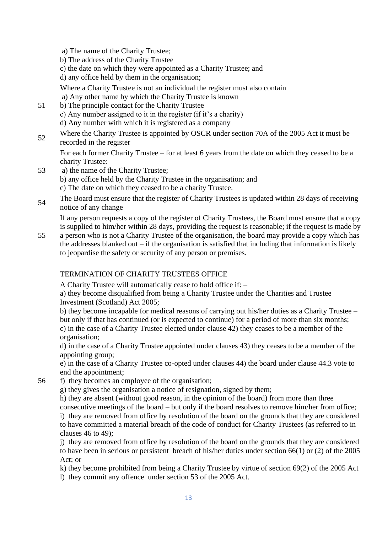- a) The name of the Charity Trustee;
- b) The address of the Charity Trustee
- c) the date on which they were appointed as a Charity Trustee; and

d) any office held by them in the organisation;

Where a Charity Trustee is not an individual the register must also contain a) Any other name by which the Charity Trustee is known

- 51 b) The principle contact for the Charity Trustee c) Any number assigned to it in the register (if it's a charity) d) Any number with which it is registered as a company
- 52 Where the Charity Trustee is appointed by OSCR under section 70A of the 2005 Act it must be recorded in the register

For each former Charity Trustee – for at least 6 years from the date on which they ceased to be a charity Trustee:

- 53 a) the name of the Charity Trustee; b) any office held by the Charity Trustee in the organisation; and c) The date on which they ceased to be a charity Trustee.
- <sup>54</sup> The Board must ensure that the register of Charity Trustees is updated within 28 days of receiving notice of any change

If any person requests a copy of the register of Charity Trustees, the Board must ensure that a copy is supplied to him/her within 28 days, providing the request is reasonable; if the request is made by

55 a person who is not a Charity Trustee of the organisation, the board may provide a copy which has the addresses blanked out  $-$  if the organisation is satisfied that including that information is likely to jeopardise the safety or security of any person or premises.

## TERMINATION OF CHARITY TRUSTEES OFFICE

A Charity Trustee will automatically cease to hold office if: –

a) they become disqualified from being a Charity Trustee under the Charities and Trustee Investment (Scotland) Act 2005;

b) they become incapable for medical reasons of carrying out his/her duties as a Charity Trustee – but only if that has continued (or is expected to continue) for a period of more than six months; c) in the case of a Charity Trustee elected under clause 42) they ceases to be a member of the organisation;

d) in the case of a Charity Trustee appointed under clauses 43) they ceases to be a member of the appointing group;

e) in the case of a Charity Trustee co-opted under clauses 44) the board under clause 44.3 vote to end the appointment;

- 56 f) they becomes an employee of the organisation;
	- g) they gives the organisation a notice of resignation, signed by them;

h) they are absent (without good reason, in the opinion of the board) from more than three

consecutive meetings of the board – but only if the board resolves to remove him/her from office;

i) they are removed from office by resolution of the board on the grounds that they are considered to have committed a material breach of the code of conduct for Charity Trustees (as referred to in clauses 46 to 49);

j) they are removed from office by resolution of the board on the grounds that they are considered to have been in serious or persistent breach of his/her duties under section 66(1) or (2) of the 2005 Act; or

k) they become prohibited from being a Charity Trustee by virtue of section 69(2) of the 2005 Act l) they commit any offence under section 53 of the 2005 Act.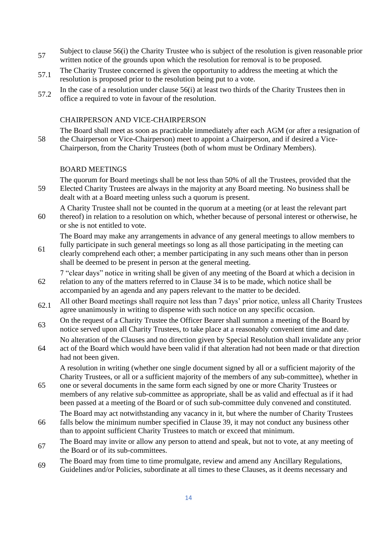- 57 Subject to clause 56(i) the Charity Trustee who is subject of the resolution is given reasonable prior written notice of the grounds upon which the resolution for removal is to be proposed.
- 57.1 The Charity Trustee concerned is given the opportunity to address the meeting at which the resolution is proposed prior to the resolution being put to a vote.
- $57.2$  In the case of a resolution under clause  $56(i)$  at least two thirds of the Charity Trustees then in office a required to vote in favour of the resolution.

#### CHAIRPERSON AND VICE-CHAIRPERSON

58 The Board shall meet as soon as practicable immediately after each AGM (or after a resignation of the Chairperson or Vice-Chairperson) meet to appoint a Chairperson, and if desired a Vice-Chairperson, from the Charity Trustees (both of whom must be Ordinary Members).

#### BOARD MEETINGS

59

The quorum for Board meetings shall be not less than 50% of all the Trustees, provided that the Elected Charity Trustees are always in the majority at any Board meeting. No business shall be dealt with at a Board meeting unless such a quorum is present.

A Charity Trustee shall not be counted in the quorum at a meeting (or at least the relevant part

60 thereof) in relation to a resolution on which, whether because of personal interest or otherwise, he or she is not entitled to vote.

The Board may make any arrangements in advance of any general meetings to allow members to

61 fully participate in such general meetings so long as all those participating in the meeting can clearly comprehend each other; a member participating in any such means other than in person shall be deemed to be present in person at the general meeting.

7 "clear days" notice in writing shall be given of any meeting of the Board at which a decision in

- 62 relation to any of the matters referred to in Clause 34 is to be made, which notice shall be accompanied by an agenda and any papers relevant to the matter to be decided.
- 62.1 All other Board meetings shall require not less than 7 days' prior notice, unless all Charity Trustees agree unanimously in writing to dispense with such notice on any specific occasion.
- <sup>63</sup> On the request of a Charity Trustee the Officer Bearer shall summon a meeting of the Board by notice served upon all Charity Trustees, to take place at a reasonably convenient time and date.
- 64 No alteration of the Clauses and no direction given by Special Resolution shall invalidate any prior act of the Board which would have been valid if that alteration had not been made or that direction had not been given.

A resolution in writing (whether one single document signed by all or a sufficient majority of the Charity Trustees, or all or a sufficient majority of the members of any sub-committee), whether in

65 one or several documents in the same form each signed by one or more Charity Trustees or members of any relative sub-committee as appropriate, shall be as valid and effectual as if it had been passed at a meeting of the Board or of such sub-committee duly convened and constituted.

The Board may act notwithstanding any vacancy in it, but where the number of Charity Trustees

- 66 falls below the minimum number specified in Clause 39, it may not conduct any business other than to appoint sufficient Charity Trustees to match or exceed that minimum.
- The Board may invite or allow any person to attend and speak, but not to vote, at any meeting of the Board or of its sub-committees.
- The Board may from time to time promulgate, review and amend any Ancillary Regulations, Guidelines and/or Policies, subordinate at all times to these Clauses, as it deems necessary and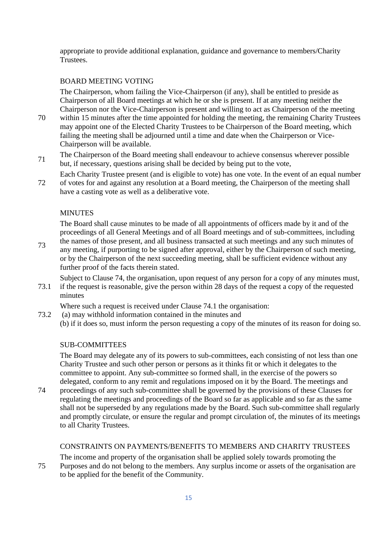appropriate to provide additional explanation, guidance and governance to members/Charity Trustees.

#### BOARD MEETING VOTING

The Chairperson, whom failing the Vice-Chairperson (if any), shall be entitled to preside as Chairperson of all Board meetings at which he or she is present. If at any meeting neither the Chairperson nor the Vice-Chairperson is present and willing to act as Chairperson of the meeting

- 70 within 15 minutes after the time appointed for holding the meeting, the remaining Charity Trustees may appoint one of the Elected Charity Trustees to be Chairperson of the Board meeting, which failing the meeting shall be adjourned until a time and date when the Chairperson or Vice-Chairperson will be available.
- <sup>71</sup> The Chairperson of the Board meeting shall endeavour to achieve consensus wherever possible but, if necessary, questions arising shall be decided by being put to the vote,

72 Each Charity Trustee present (and is eligible to vote) has one vote. In the event of an equal number of votes for and against any resolution at a Board meeting, the Chairperson of the meeting shall have a casting vote as well as a deliberative vote.

## **MINUTES**

The Board shall cause minutes to be made of all appointments of officers made by it and of the proceedings of all General Meetings and of all Board meetings and of sub-committees, including the names of those present, and all business transacted at such meetings and any such minutes of

73 any meeting, if purporting to be signed after approval, either by the Chairperson of such meeting, or by the Chairperson of the next succeeding meeting, shall be sufficient evidence without any further proof of the facts therein stated.

Subject to Clause 74, the organisation, upon request of any person for a copy of any minutes must,

73.1 if the request is reasonable, give the person within 28 days of the request a copy of the requested minutes

Where such a request is received under Clause 74.1 the organisation:

73.2 (a) may withhold information contained in the minutes and (b) if it does so, must inform the person requesting a copy of the minutes of its reason for doing so.

## SUB-COMMITTEES

The Board may delegate any of its powers to sub-committees, each consisting of not less than one Charity Trustee and such other person or persons as it thinks fit or which it delegates to the committee to appoint. Any sub-committee so formed shall, in the exercise of the powers so delegated, conform to any remit and regulations imposed on it by the Board. The meetings and

74 proceedings of any such sub-committee shall be governed by the provisions of these Clauses for regulating the meetings and proceedings of the Board so far as applicable and so far as the same shall not be superseded by any regulations made by the Board. Such sub-committee shall regularly and promptly circulate, or ensure the regular and prompt circulation of, the minutes of its meetings to all Charity Trustees.

#### CONSTRAINTS ON PAYMENTS/BENEFITS TO MEMBERS AND CHARITY TRUSTEES

75 The income and property of the organisation shall be applied solely towards promoting the Purposes and do not belong to the members. Any surplus income or assets of the organisation are to be applied for the benefit of the Community.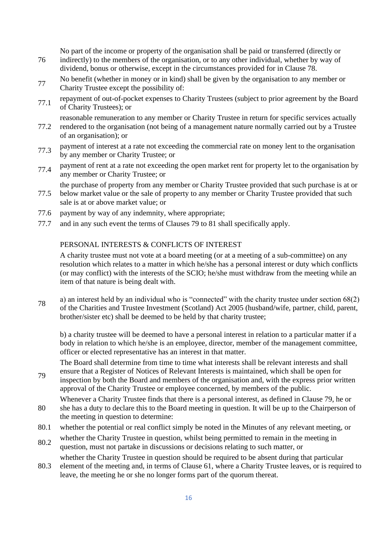No part of the income or property of the organisation shall be paid or transferred (directly or

- 76 indirectly) to the members of the organisation, or to any other individual, whether by way of dividend, bonus or otherwise, except in the circumstances provided for in Clause 78.
- No benefit (whether in money or in kind) shall be given by the organisation to any member or Charity Trustee except the possibility of:
- 77.1 repayment of out-of-pocket expenses to Charity Trustees (subject to prior agreement by the Board of Charity Trustees); or

reasonable remuneration to any member or Charity Trustee in return for specific services actually

- 77.2 rendered to the organisation (not being of a management nature normally carried out by a Trustee of an organisation); or
- 77.3 payment of interest at a rate not exceeding the commercial rate on money lent to the organisation by any member or Charity Trustee; or
- 77.4 payment of rent at a rate not exceeding the open market rent for property let to the organisation by any member or Charity Trustee; or

the purchase of property from any member or Charity Trustee provided that such purchase is at or

- 77.5 below market value or the sale of property to any member or Charity Trustee provided that such sale is at or above market value; or
- 77.6 payment by way of any indemnity, where appropriate;
- 77.7 and in any such event the terms of Clauses 79 to 81 shall specifically apply.

#### PERSONAL INTERESTS & CONFLICTS OF INTEREST

A charity trustee must not vote at a board meeting (or at a meeting of a sub-committee) on any resolution which relates to a matter in which he/she has a personal interest or duty which conflicts (or may conflict) with the interests of the SCIO; he/she must withdraw from the meeting while an item of that nature is being dealt with.

78 a) an interest held by an individual who is "connected" with the charity trustee under section 68(2) of the Charities and Trustee Investment (Scotland) Act 2005 (husband/wife, partner, child, parent, brother/sister etc) shall be deemed to be held by that charity trustee;

b) a charity trustee will be deemed to have a personal interest in relation to a particular matter if a body in relation to which he/she is an employee, director, member of the management committee, officer or elected representative has an interest in that matter.

The Board shall determine from time to time what interests shall be relevant interests and shall ensure that a Register of Notices of Relevant Interests is maintained, which shall be open for

- 79 inspection by both the Board and members of the organisation and, with the express prior written approval of the Charity Trustee or employee concerned, by members of the public.
- 80 Whenever a Charity Trustee finds that there is a personal interest, as defined in Clause 79, he or she has a duty to declare this to the Board meeting in question. It will be up to the Chairperson of the meeting in question to determine:
- 80.1 whether the potential or real conflict simply be noted in the Minutes of any relevant meeting, or
- 80.2 whether the Charity Trustee in question, whilst being permitted to remain in the meeting in question, must not partake in discussions or decisions relating to such matter, or

whether the Charity Trustee in question should be required to be absent during that particular

80.3 element of the meeting and, in terms of Clause 61, where a Charity Trustee leaves, or is required to leave, the meeting he or she no longer forms part of the quorum thereat.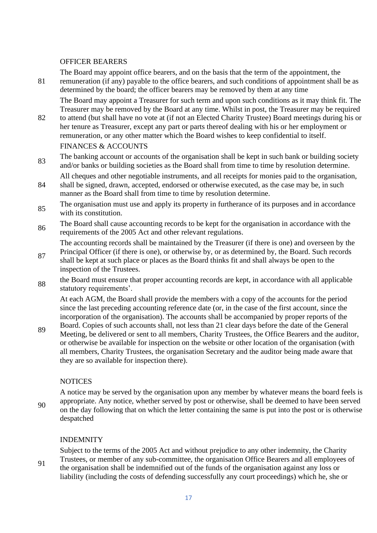#### OFFICER BEARERS

81

The Board may appoint office bearers, and on the basis that the term of the appointment, the remuneration (if any) payable to the office bearers, and such conditions of appointment shall be as determined by the board; the officer bearers may be removed by them at any time

The Board may appoint a Treasurer for such term and upon such conditions as it may think fit. The Treasurer may be removed by the Board at any time. Whilst in post, the Treasurer may be required

- 82 to attend (but shall have no vote at (if not an Elected Charity Trustee) Board meetings during his or her tenure as Treasurer, except any part or parts thereof dealing with his or her employment or remuneration, or any other matter which the Board wishes to keep confidential to itself. FINANCES & ACCOUNTS
- <sup>83</sup> The banking account or accounts of the organisation shall be kept in such bank or building society and/or banks or building societies as the Board shall from time to time by resolution determine.
- 84 All cheques and other negotiable instruments, and all receipts for monies paid to the organisation, shall be signed, drawn, accepted, endorsed or otherwise executed, as the case may be, in such manner as the Board shall from time to time by resolution determine.
- <sup>85</sup> The organisation must use and apply its property in furtherance of its purposes and in accordance with its constitution.
- 86 The Board shall cause accounting records to be kept for the organisation in accordance with the requirements of the 2005 Act and other relevant regulations.

The accounting records shall be maintained by the Treasurer (if there is one) and overseen by the Principal Officer (if there is one), or otherwise by, or as determined by, the Board. Such records

- 87 shall be kept at such place or places as the Board thinks fit and shall always be open to the inspection of the Trustees.
- <sup>88</sup> the Board must ensure that proper accounting records are kept, in accordance with all applicable statutory requirements'.

At each AGM, the Board shall provide the members with a copy of the accounts for the period since the last preceding accounting reference date (or, in the case of the first account, since the incorporation of the organisation). The accounts shall be accompanied by proper reports of the

89 Board. Copies of such accounts shall, not less than 21 clear days before the date of the General Meeting, be delivered or sent to all members, Charity Trustees, the Office Bearers and the auditor, or otherwise be available for inspection on the website or other location of the organisation (with all members, Charity Trustees, the organisation Secretary and the auditor being made aware that they are so available for inspection there).

## NOTICES

90 A notice may be served by the organisation upon any member by whatever means the board feels is appropriate. Any notice, whether served by post or otherwise, shall be deemed to have been served on the day following that on which the letter containing the same is put into the post or is otherwise despatched

## INDEMNITY

91 Subject to the terms of the 2005 Act and without prejudice to any other indemnity, the Charity Trustees, or member of any sub-committee, the organisation Office Bearers and all employees of the organisation shall be indemnified out of the funds of the organisation against any loss or liability (including the costs of defending successfully any court proceedings) which he, she or